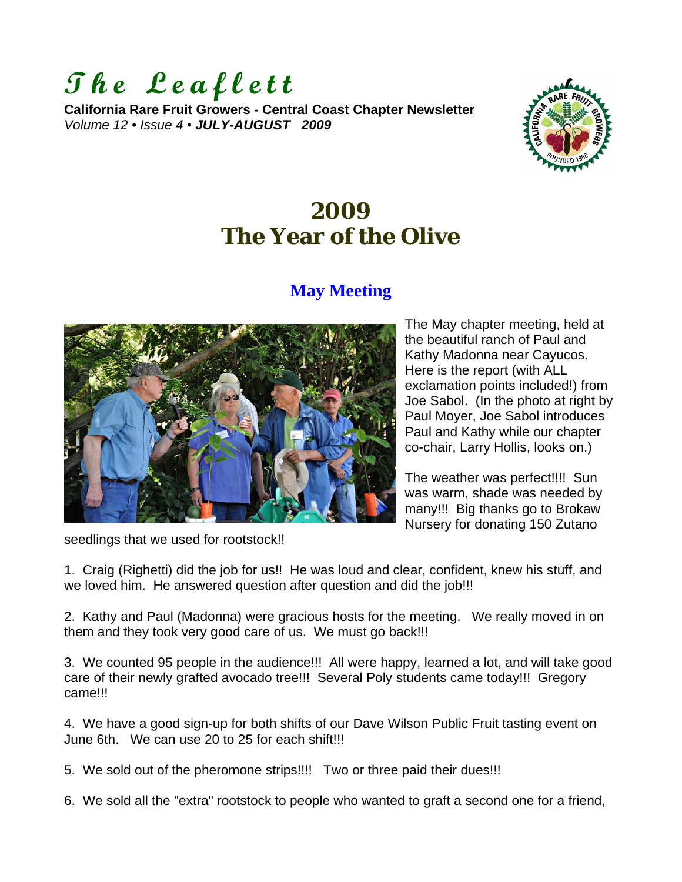

**California Rare Fruit Growers - Central Coast Chapter Newsletter**  *Volume 12 • Issue 4 • JULY-AUGUST 2009*



# **2009 The Year of the Olive**

# **May Meeting**



The May chapter meeting, held at the beautiful ranch of Paul and Kathy Madonna near Cayucos. Here is the report (with ALL exclamation points included!) from Joe Sabol. (In the photo at right by Paul Moyer, Joe Sabol introduces Paul and Kathy while our chapter co-chair, Larry Hollis, looks on.)

The weather was perfect!!!! Sun was warm, shade was needed by many!!! Big thanks go to Brokaw Nursery for donating 150 Zutano

seedlings that we used for rootstock!!

1. Craig (Righetti) did the job for us!! He was loud and clear, confident, knew his stuff, and we loved him. He answered question after question and did the job!!!

2. Kathy and Paul (Madonna) were gracious hosts for the meeting. We really moved in on them and they took very good care of us. We must go back!!!

3. We counted 95 people in the audience!!! All were happy, learned a lot, and will take good care of their newly grafted avocado tree!!! Several Poly students came today!!! Gregory came!!!

4. We have a good sign-up for both shifts of our Dave Wilson Public Fruit tasting event on June 6th. We can use 20 to 25 for each shift!!!

5. We sold out of the pheromone strips!!!! Two or three paid their dues!!!

6. We sold all the "extra" rootstock to people who wanted to graft a second one for a friend,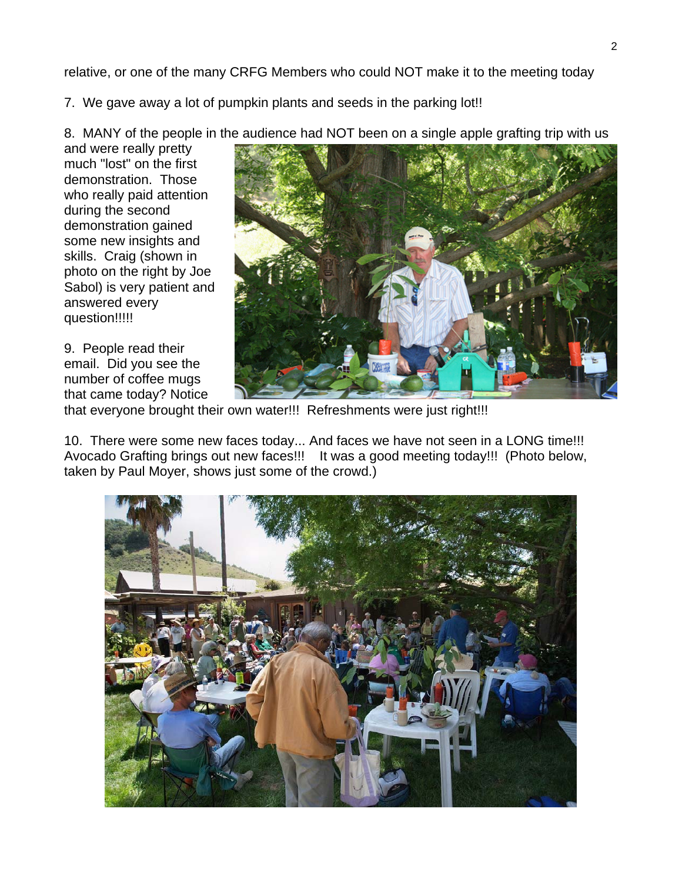relative, or one of the many CRFG Members who could NOT make it to the meeting today

7. We gave away a lot of pumpkin plants and seeds in the parking lot!!

8. MANY of the people in the audience had NOT been on a single apple grafting trip with us

and were really pretty much "lost" on the first demonstration. Those who really paid attention during the second demonstration gained some new insights and skills. Craig (shown in photo on the right by Joe Sabol) is very patient and answered every question!!!!!

9. People read their email. Did you see the number of coffee mugs that came today? Notice



that everyone brought their own water!!! Refreshments were just right!!!

10. There were some new faces today... And faces we have not seen in a LONG time!!! Avocado Grafting brings out new faces!!! It was a good meeting today!!! (Photo below, taken by Paul Moyer, shows just some of the crowd.)

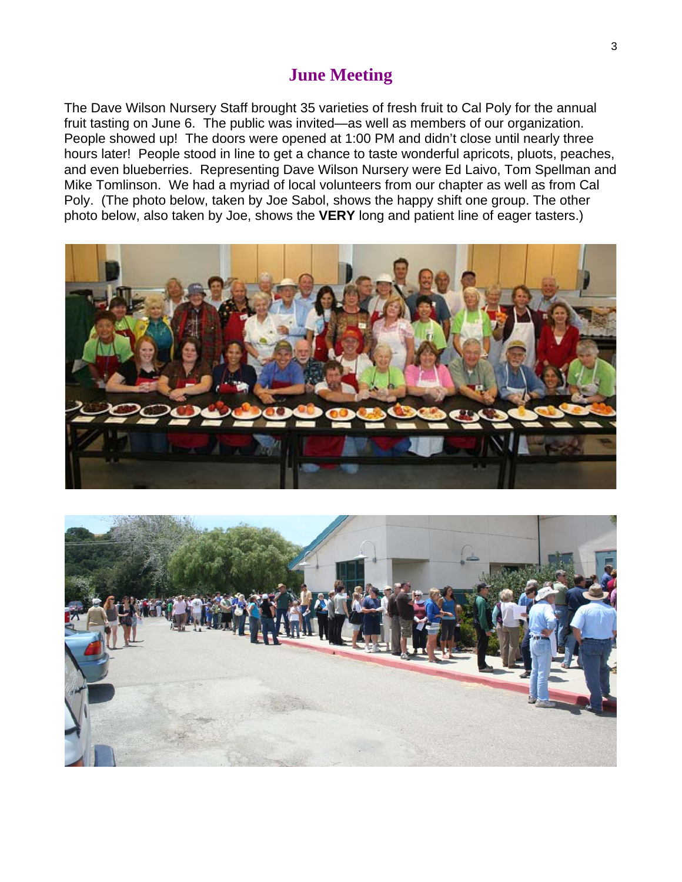### **June Meeting**

The Dave Wilson Nursery Staff brought 35 varieties of fresh fruit to Cal Poly for the annual fruit tasting on June 6. The public was invited—as well as members of our organization. People showed up! The doors were opened at 1:00 PM and didn't close until nearly three hours later! People stood in line to get a chance to taste wonderful apricots, pluots, peaches, and even blueberries. Representing Dave Wilson Nursery were Ed Laivo, Tom Spellman and Mike Tomlinson. We had a myriad of local volunteers from our chapter as well as from Cal Poly. (The photo below, taken by Joe Sabol, shows the happy shift one group. The other photo below, also taken by Joe, shows the **VERY** long and patient line of eager tasters.)



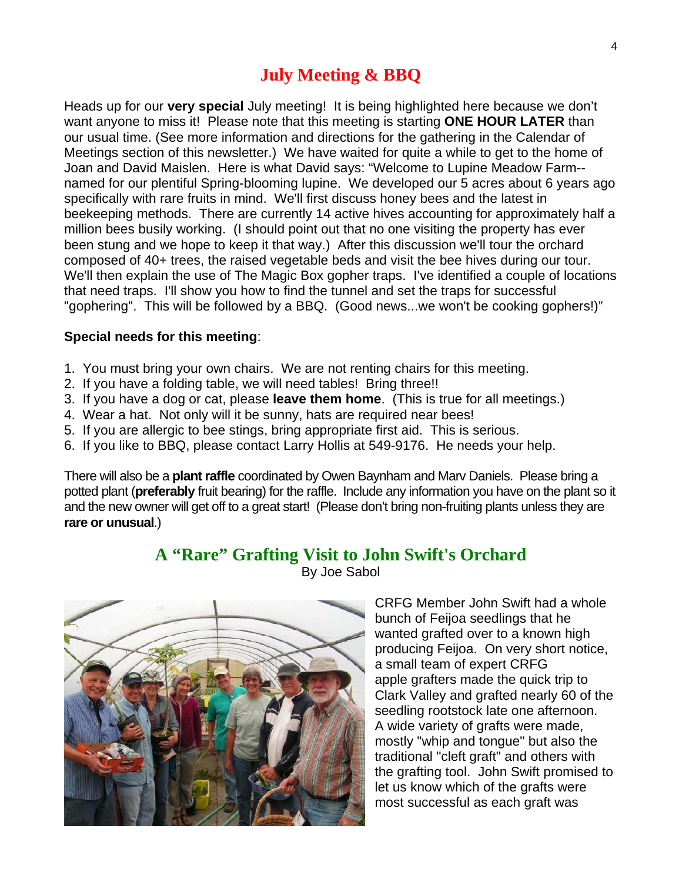# **July Meeting & BBQ**

Heads up for our **very special** July meeting! It is being highlighted here because we don't want anyone to miss it! Please note that this meeting is starting **ONE HOUR LATER** than our usual time. (See more information and directions for the gathering in the Calendar of Meetings section of this newsletter.) We have waited for quite a while to get to the home of Joan and David Maislen. Here is what David says: "Welcome to Lupine Meadow Farm- named for our plentiful Spring-blooming lupine. We developed our 5 acres about 6 years ago specifically with rare fruits in mind. We'll first discuss honey bees and the latest in beekeeping methods. There are currently 14 active hives accounting for approximately half a million bees busily working. (I should point out that no one visiting the property has ever been stung and we hope to keep it that way.) After this discussion we'll tour the orchard composed of 40+ trees, the raised vegetable beds and visit the bee hives during our tour. We'll then explain the use of The Magic Box gopher traps. I've identified a couple of locations that need traps. I'll show you how to find the tunnel and set the traps for successful "gophering". This will be followed by a BBQ. (Good news...we won't be cooking gophers!)"

#### **Special needs for this meeting**:

- 1. You must bring your own chairs. We are not renting chairs for this meeting.
- 2. If you have a folding table, we will need tables! Bring three!!
- 3. If you have a dog or cat, please **leave them home**. (This is true for all meetings.)
- 4. Wear a hat. Not only will it be sunny, hats are required near bees!
- 5. If you are allergic to bee stings, bring appropriate first aid. This is serious.
- 6. If you like to BBQ, please contact Larry Hollis at 549-9176. He needs your help.

There will also be a **plant raffle** coordinated by Owen Baynham and Marv Daniels. Please bring a potted plant (**preferably** fruit bearing) for the raffle. Include any information you have on the plant so it and the new owner will get off to a great start! (Please don't bring non-fruiting plants unless they are **rare or unusual**.)

**A "Rare" Grafting Visit to John Swift's Orchard** 

By Joe Sabol



CRFG Member John Swift had a whole bunch of Feijoa seedlings that he wanted grafted over to a known high producing Feijoa. On very short notice, a small team of expert CRFG apple grafters made the quick trip to Clark Valley and grafted nearly 60 of the seedling rootstock late one afternoon. A wide variety of grafts were made, mostly "whip and tongue" but also the traditional "cleft graft" and others with the grafting tool. John Swift promised to let us know which of the grafts were most successful as each graft was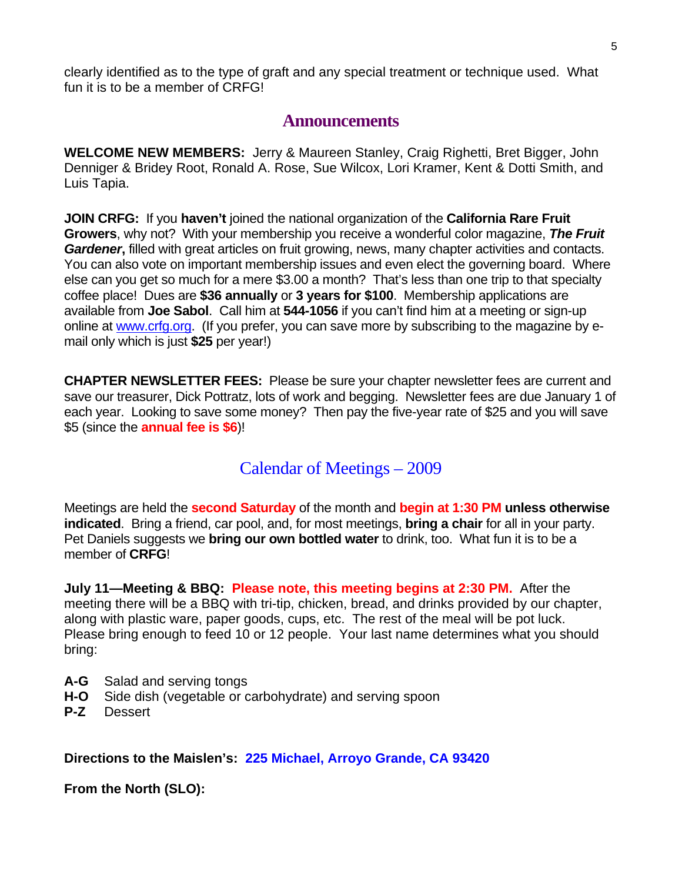clearly identified as to the type of graft and any special treatment or technique used. What fun it is to be a member of CRFG!

### **Announcements**

**WELCOME NEW MEMBERS:** Jerry & Maureen Stanley, Craig Righetti, Bret Bigger, John Denniger & Bridey Root, Ronald A. Rose, Sue Wilcox, Lori Kramer, Kent & Dotti Smith, and Luis Tapia.

**JOIN CRFG:** If you **haven't** joined the national organization of the **California Rare Fruit Growers**, why not? With your membership you receive a wonderful color magazine, *The Fruit Gardener***,** filled with great articles on fruit growing, news, many chapter activities and contacts. You can also vote on important membership issues and even elect the governing board. Where else can you get so much for a mere \$3.00 a month? That's less than one trip to that specialty coffee place! Dues are **\$36 annually** or **3 years for \$100**. Membership applications are available from **Joe Sabol**. Call him at **544-1056** if you can't find him at a meeting or sign-up online at [www.crfg.org.](http://www.crfg.org/) (If you prefer, you can save more by subscribing to the magazine by email only which is just **\$25** per year!)

**CHAPTER NEWSLETTER FEES:** Please be sure your chapter newsletter fees are current and save our treasurer, Dick Pottratz, lots of work and begging. Newsletter fees are due January 1 of each year. Looking to save some money? Then pay the five-year rate of \$25 and you will save \$5 (since the **annual fee is \$6**)!

### Calendar of Meetings – 2009

Meetings are held the **second Saturday** of the month and **begin at 1:30 PM unless otherwise indicated**. Bring a friend, car pool, and, for most meetings, **bring a chair** for all in your party. Pet Daniels suggests we **bring our own bottled water** to drink, too. What fun it is to be a member of **CRFG**!

**July 11—Meeting & BBQ: Please note, this meeting begins at 2:30 PM.** After the meeting there will be a BBQ with tri-tip, chicken, bread, and drinks provided by our chapter, along with plastic ware, paper goods, cups, etc. The rest of the meal will be pot luck. Please bring enough to feed 10 or 12 people. Your last name determines what you should bring:

- **A-G** Salad and serving tongs
- **H-O** Side dish (vegetable or carbohydrate) and serving spoon
- **P-Z** Dessert

**Directions to the Maislen's: 225 Michael, Arroyo Grande, CA 93420**

**From the North (SLO):**